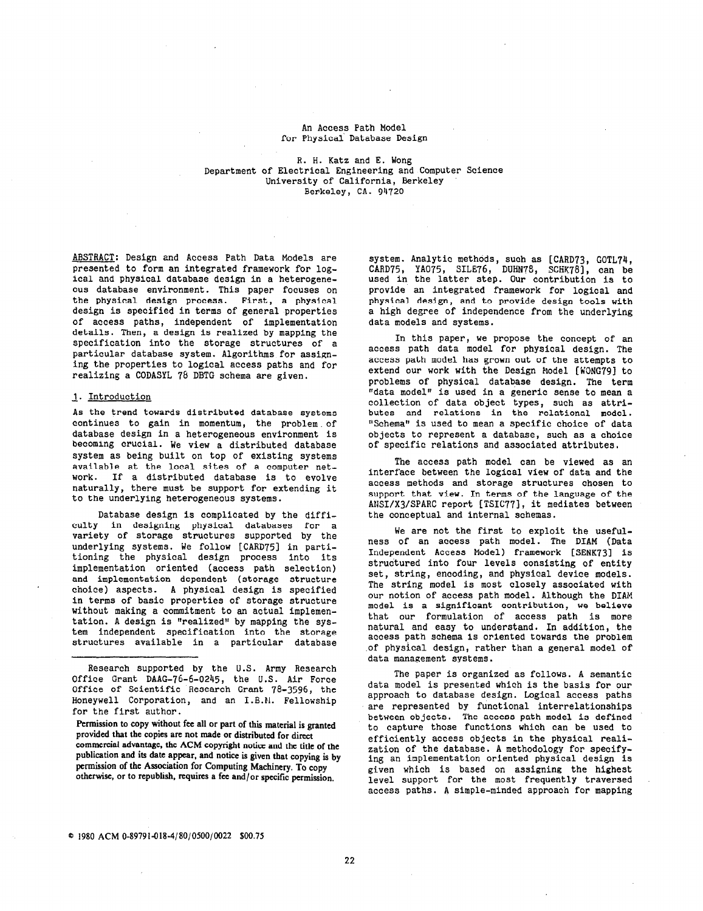## An Access Path Model for Physical Database Design

R. H. Katz and E. Wong Department of Electrical Engineering and Computer Science University of California, Berkeley Berkeley, CA. 94720

ABSTRACT: Design and Access Path Data Models are presented to form an integrated framework for logical and physical database design in a heterogeneous database environment. This paper focuses on the physical design process. First, a physical design is specified in terms of general properties of access paths, independent of implementation details. Then, a design is realized by mapping the specification into the storage structures of a particular database system. Algorithms for assigning the properties to logical access paths and for realizing a CODASYL 7b DBTG schema are given.

## 1. Introduction

As the trend towards distributed database systems continues to gain in momentum, the problem. of database design in a heterogeneous environment is becoming crucial. We view a distributed database system as being built on top of existing systems available at the local sites of a computer network. If a distributed database is to evolve naturally, there must be support for extending it to the underlying heterogeneous systems.

Database design is complicated by the difficulty in designing physical databases for a variety of storage structures supported by the underlying systems. We follow [CARD751 in partitioning the physical design process into it; implementation oriented (access path selection) and implementation dependent (storage structure choice) aspects. A physical design is specified in terms of basic properties of storage structure without making a commitment to an actual implementation. A design is "realized" by mapping the system independent specification into the storage structures available in a particular database system. Analytic methods, such as [CARD73, GOTL74, CARD75, YA075, SILE76, DUHN?S, SCHK78], can be used in the latter step. Our contribution is to provide an integrated framework for logical and physical design, and to provide design tools with a high degree of independence from the underlyi data models and systems.

In this paper, we propose the concept of an access path data model for physical design. The access path model has grown out of the attempts to extend our work with the Design Model [WONG79] to problems of physical database design. The term "data model" is used in a generic sense to mean a collection of data object types, such as attı butes and relations in the relational model. "Schema" is used to mean a specific choice of data objects to represent a database, such as a choice of specific relations and associated attributes.

The access path model can be viewed as an interface between the logical view of data and the access methods and storage structures chosen to support that view. In terms of the language of the ANSI/X3/SPARC report [TSIC77], it mediates between the conceptual and internal schemas.

We are not the first to exploit the usefulness of an access path model. The DIAM (Data Independent Access Model) framework [SENK73] is structured into four levels consisting of entity set, string, encoding, and physical device models. The string model is most closely associated with our notion of access path model. Although the DIAH model is a significant contribution, we believe that our formulation of access path is more natural and easy to understand. In addition, the access path schema is oriented towards the problem of physical design, rather than a general model of data management systems.

The paper is organized as follows. A semantic data model is presented which is the basis for our approach to database design. Logical access paths are represented by functional interrelationships between objects. The access path model is defined to capture those functions which can be used to efficiently access objects in the physical realization of the database. A methodology for specifying an inplementation oriented physical design is given which is based on assigning the highest level support for the most frequently traversed access paths. A simple-minded approach for mapping

Research supported by the U.S. Army Research Office Grant DAAG-76-6-0245, the U.S. Air Force Office of Scientific Research Grant 78-3596, the Honeywell Corporation, and an I.B.M. Fellowship for the first author.

Permission to copy without fee all or part of this material is granted provided that the copies are not made or distributed for direct commercial advantage, the ACM copyright notice and the title of the publication and its date appear, and notice is given that copying is by permission of the Association for Computing Machinery. To copy otherwise, or to republish, requires a fee and/or specific permission.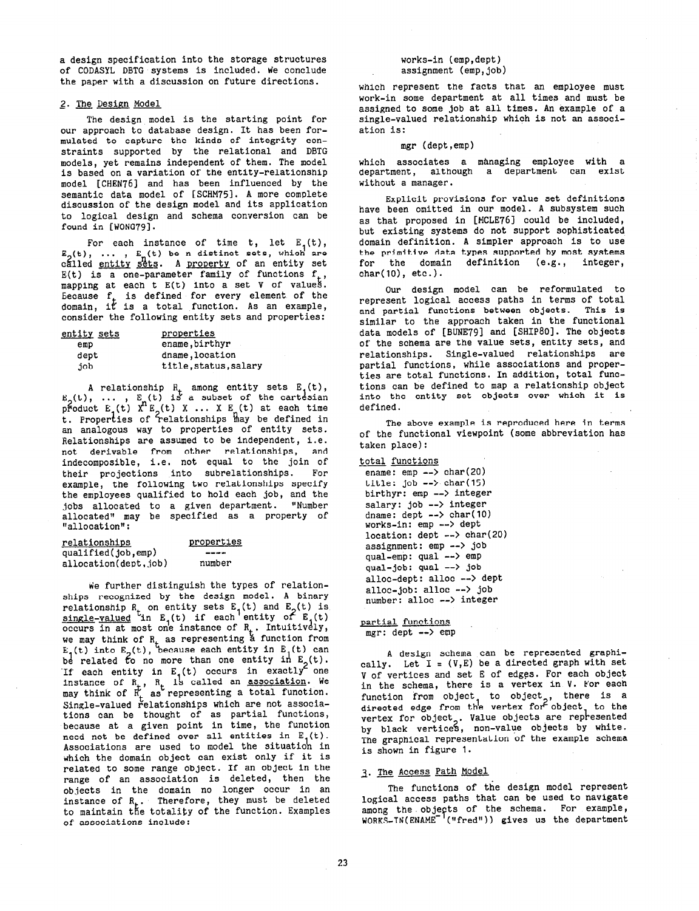a design specification into the storage structures of CODASYL DBTG systems is included. We conclude the paper with a discussion on future directions.

# 2. The Design Model

The design model is the starting point for our approach to database design. It has been formulated to capture the kinds of integrity constraints supported by the relational and DBTG models, yet remains independent of them. The model is based on a variation of the entity-relationship model [CHEN76] and has been influenced by the semantic data model of [SCHM75]. A more complete discussion of the design model and its application to logical design and schema conversion can be found in [WONG79].

For each instance of time t, let  $E_{1}(t)$ ,  $\mathtt{E}_{\alpha}(\mathtt{t})$ , ...,  $\mathtt{E}_{\alpha}(\mathtt{t})$  be n distinct sets, which are cálled <u>entity sets</u>. A <u>property</u> of an entity set E(t) is a one-parameter family of functions  $f_t$ , mapping at each t E(t) into a set V of values. Eecause  ${\bf f}_{\perp}$  is defined for every element of the domain, it is a total function. As an example consider the following entity sets and properties:

| entity sets | properties            |
|-------------|-----------------------|
| emp         | ename, birthyr        |
| dept        | dname, location       |
| dot         | title, status, salary |

A relationship  $R_{+}$  among entity sets  $E_{1}(t)$ E<sub>o</sub>(t), ... , E<sub>n</sub>(t) i: pFoduct E (t) X E, a subset of the cart<mark>e</mark>sian (t) t. Properties of T  $X$  ...  $X$   $E_{\mu}(t)$  at each time elationships may be defined in an analogous way to properties of entity sets. Relationships are assumed to be independent, i.e. not derivable from other relationships, and indecomposible, i.e. not equal to the join of their projections into subrelationships. For example, the following two relationships specify the employees qualified to hold each job, and the jobs allocated to a given department. "Number allocated" may be specified as a property of "allocation":

| relationships        | properties |
|----------------------|------------|
| qualified(job,emp)   | ----       |
| allocation(dept,job) | number     |

We further distinguish the types of relationships recognized by the design model. A binary relationship  $R_+$  on entity sets  $E_1(t)$  and  $E_2(t)$  is  $\texttt{single-valued}$  in E.(t) if each'entity of E.(t) occurs in at most one instance of  $\mathtt{R}_\star$ . Intuitively we may think of  $\mathtt{R}_{\star}$  as representing a function from  $E_{a}(t)$  into  $E_{a}(t)$ , because each entity in  $E_{1}(t)$  can be related to no more than one entity in  $E_2(t)$ . If each entity in  $E_1(t)$  occurs in exactly one instance of R<sub>+</sub>, R<sub>+</sub> is called an <u>association</u>. We may think of  $R'_+$  as representing a total functio  $\operatorname{\mathfrak{S}}$ ingle-valued relationships which are not associa tions can be thought of as partial functions, because at a given point in time, the function need not be defined over all entities in  $E_1(t)$ . Associations are used to model the situation in which the domain object can exist only if it is related to some range object. If an object in the range of an association is deleted, then the objects in the domain no longer occur in an instance of  ${\tt R}_{\tt *}$ . Therefore, they must be delete to maintain the totality of the function. Examples of associations include:

works-in (emp,dept) assignment (emp, job)

which represent the facts that an employee must work-in some department at all times and must be assigned to some job at all times. An example of a single-valued relationship which is not an association is:

### mgr (dept,emp)

which associates a managing employee with a department, although a department can exist without a manager.

Explicit provisions for value set definitions have been omitted in our model. A subsystem such as that proposed in [MCLE76] could be included, but existing systems do not support sophisticated domain definition. A simpler approach is to use the primitive data types supported by most systems for the domain definition (e.g., integer,  $char(10)$ ,  $etc.$ ).

Our design model can be reformulated to represent logical access paths in terms of total and partial functions between objects. This is similar to the approach taken in the functional data models of [BUNE79] and [SHIP80]. The objects of the schema are the value sets, entity sets, and relationships. Single-valued relationships are partial functions, while associations and properties are total functions. In addition, total functions can be defined to map a relationship object into the entity set objects over which it is defined.

The above example is reproduced here in terms of the functional viewpoint (some abbreviation has taken place):

```
total functions 
ename: emp --> char(20)
title: job --> char(15)birthyr: emp --> integer 
salary: job --> integer 
dname: dept --> char(10)
works-in: emp --> dept
location: dept --> char(20) 
assignment: emp --> job 
qual-emp: qual --> emp
qual-job: qual --> job
alloc-dept: alloc --> dept
alloc-job: alloc --> job
number: alloc --> integer
```
partial functions.  $mer:$  dept  $\leftarrow$  emp

A design schema can be represented graphically. Let  $I = (V, E)$  be a directed graph with set V of vertices and set E of edges. For each object in the schema, there is a vertex in V. For each function from object, to object<sub>o</sub>, there is a directed edge from the vertex for object, to the vertex for object<sub>o</sub>. Value objects are represent by black vertices, non-value objects by white The graphical representation of the example schema is shown in figure 1.

## 3. The Access Path Model

The functions of the design model represent logical access paths that can be used to navigate among the objects of the schema. For example WORKS-IN(ENAME '("fred")) gives us the departmen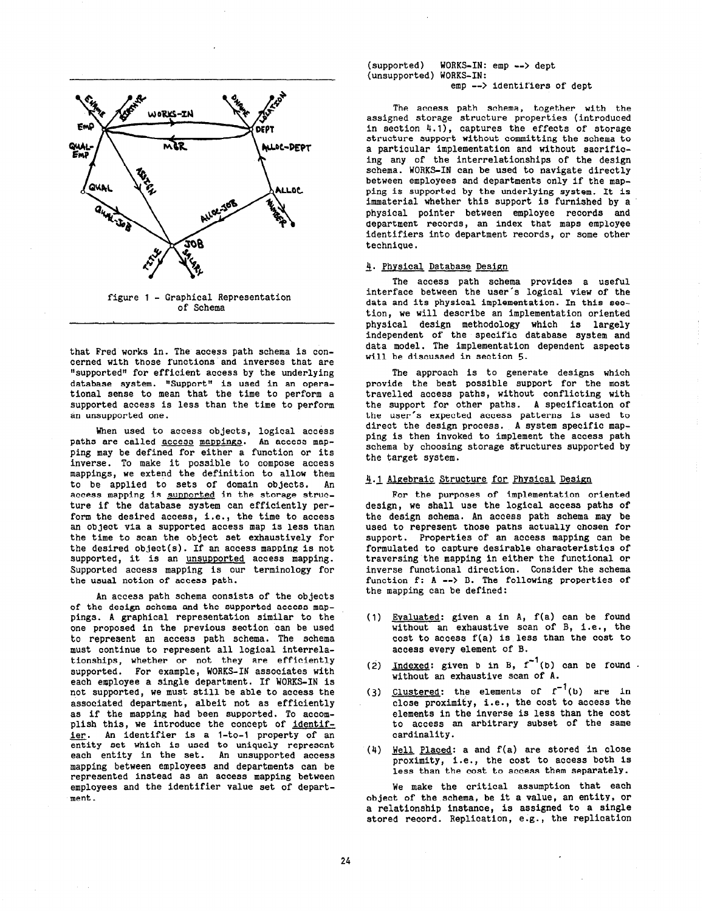

that Fred works in. The access path schema is concerned with those functions and inverses that are "supported" for efficient access by the underlying database system. "Support" is used in an operational sense to mean that the time to perform a supported access is less than the time to perform an unsupported one.

When used to access objects, logical access paths are called access mappings. An access mapping may be defined for either a function or its inverse. To make it possible to compose access mappings, we extend the definition to allow them to be applied to sets of domain objects. An access mapping is supported in the storage structure if the database system can efficiently perform the desired access, i.e., the time to access an object via a supported access map is less than the time to scan the object set exhaustively for the desired object(s). If an access mapping is not supported, it is an unsupported access mapping. Supported access mapping is our terminology for the usual notion of access path.

An access path schema consists of the objects of the design schema and the supported access mappings. A graphical representation similar to the one proposed in the previous section can be used to represent an access path schema. The schema must continue to represent all logical interrelationships, whether or not they are efficiently supported. For example, WORKS-IN associates with each employee a single department. If WORKS-IN is not supported, we must still be able to access the associated department, albeit not as efficiently as if the mapping had been supported. To accomplish this, we introduce the concept of identifier. An identifier is a 1-to-1 property of an entity set which is used to uniquely represent each entity in the set. An unsupported access mapping between employees and departments can be represented instead as an access mapping between employees and the identifier value set of department .

(supported) WORKS-IN: emp --> dept (unsupported) WORKS-IN: emp --> identifiers of dept

The access path schema, together with the assigned storage structure properties (introduced in section  $4.1$ , captures the effects of storage structure support without committing the schema to a particular implementation and without sacrificing any of the interrelationships of the design schema. WORKS-IN can be used to navigate directly between employees and departments only if the mapping is supported by the underlying system. It is immaterial whether this support is furnished by a physical pointer between employee records and department records, an index that maps employee identifiers into department records, or some other technique.

# 4. Physical Database Design

The access path schema provides a useful interface between the user's logical view of the data and its physical implementation. In this section, we will describe an implementation oriented physical design methodology which is large: independent of the specific database system and data model. The implementation dependent aspects will be discussed in section 5.

The approach is to generate designs which provide the best possible support for the most travelled access paths, without conflicting with the support for other paths. A specification of the user's expected access patterns is used to direct the design process. A system specific mapping is then invoked to implement the access path schema by choosing storage structures supported by the target system.

### 3.1 Algebraic Structure for Physical Design

For the purposes of implementation oriented design, we shall use the logical access paths of the design schema. An access path schema may be used to represent those paths actually chosen for support. Properties of an access mapping can be formulated to capture desirable characteristics of traversing the mapping in either the functional or inverse functional direction. Consider the schema function f: A --> B. The following properties of the mapping can be defined:

- (1) <u>Evaluated</u>: given a in A, f(a) can be found without an exhaustive scan of B, i.e., the cost to access f(a) is less than the cost to access every element of B.
- (2)  $Indeed: given b in B, f (b) can be found.$ </u> without an exhaustive scan of A.
- (3) Clustered: the elements of  $f^{-1}(b)$  are in close proximity, i.e., the cost to access the elements in the inverse is less than the cost to access an arbitrary subset of the same cardinality.
- (4) <u>Well Placed</u>: a and f(a) are stored in close proximity, I .e., the cost to access both is less than the cost to access them separatel

We make the critical assumption that each object of the schema, be it a value, an entity, or a relationship instance, is assigned to a single stored record. Replication, e.g., the replication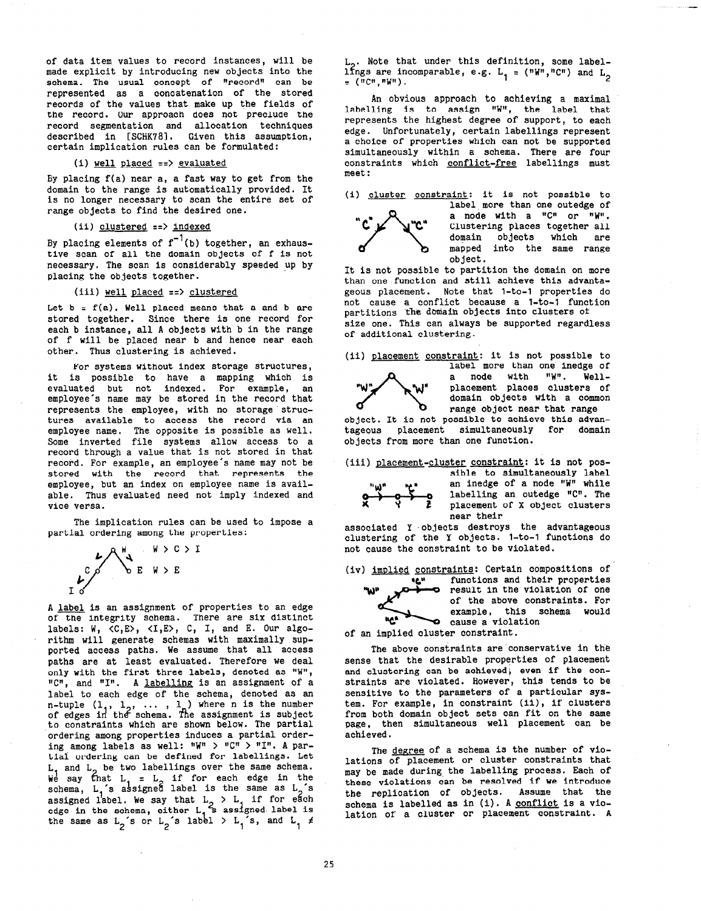of data item values to record instances, will be made explicit by introducing new objects into the schema. The usual concept of "record" can be represented as a concatenation of the stored records of the values that make up the fields of the record. Our approach does not preclude the record segmentation and allocation techniques described in [SCHK78]. Given this assumption, certain implication rules can be formulated:

#### $(i)$  well placed  $==$ > evaluated

By placing f(a) near a, a fast way to get from the domain to the range is automatically provided. It is no longer necessary to scan the entire set of range objects to find the desired one.

# (ii) clustered ==> indexed

By placing elements of  $\mathbf{f}^{-1}(\mathbf{b})$  together, an exhaus tive scan of all the domain objects of f is not necessary. The scan is considerably speeded up by placing the objects together.

# (iii) well placed ==> clustered

Let  $b = f(a)$ . Well placed means that a and b are stored together. Since there is one record for each b instance, all A objects with b in the range of f will be placed near b and hence near each other. Thus clustering is achieved.

For systems without index storage structures, it is possible to have a mapping which is evaluated but not indexed. For example, an employee's name may be stored in the record that represents the employee, with no storage structures available to access the record via an employee name. The opposite is possible as well. Some inverted file systems allow access to a record through a value that is not stored in that record. For example, an employee's name may not be stored with the record that represents the employee, but an index on employee name is available. Thus evaluated need not imply indexed and vice versa.

The implication rules can be used to impose a partial ordering among the properties:



A label is an assignment of properties to an edge of the integrity schema. There are six distinct labels: W, <C,E>, <I,E>, C, I, and E. Our algorithm will generate schemas with maximally supported access paths. We assume that all access paths are at least evaluated. Therefore we deal only with the first three labels, denoted as "W", "C", and "I". A labelling is an assignment of a label to each edge of the schema, denoted as an n-tuple  $(1_1, 1_2, ...$ of edges in the schema 1 ) where n is the number The assignment is subjec to constraints which are shown below. The partial 'ordering among properties induces a partial ordering among labels as well: "W" > "C" > "I". A partiai ordering can be defined for labellings. Let  $L$ , and  $L$ , be two labellings over the same schema. We say that  $L_1$  =  $L_2$  if for each edge in the schema,  $L_i$ 's assigned label is the same as  $L_j$ 's assigned label. We say that  $L_2 > L_1$  if for each edge in the schema, either L the same as L<sub>2</sub>'s or L<sub>2</sub>'s , s assigned label is label  $>$  L  $s$ , and L  $\neq$ 

 $L_2$ . Note that under this definition, some labellings are incomparable, e.g. L<sub>1</sub> = ("W","C") and L<sub>2</sub><br>= ("C"."W").

An obvious approach to achieving a maximal labelling is to assign "W", the label that represents the highest degree of support, to each edge. Unfortunately, certain labellings represent a choice of properties which can not be supported simultaneously within a schema. There are four constraints which conflict-free labellings must meet :

(i) cluster constraint: it is not possible to



label more than one outedge of a node with a  $"C"$  or  $"W"$ . Clustering places together all domain objects which are mapped into the same range object .

.-

It is not possible to partition the domain on more than one function and still achieve this advantageous placement. Note that l-to-l properties do not cause a conflict because a l-to-l function partitions the domain objects into clusters of

size one. This can always be supported regardless of additional clustering.

(ii) placement constraint: it is not possible to label more than one inedge of



a node with "W". Well-<br>placement places clusters of domain objects with a common range object near that range

object. It is not possible to achieve this advantageous placement simultaneously for domain objects from more than one function.

(iii) placement-cluster constraint: it is not pos-



"w'

sible to simultaneously label an inedge of a node "W" while labelling an outedge "C". The placement of X object clusters near their

associated Y objects destroys the advantageous clustering of the Y objects. l-to-l functions do not cause the constraint to be violated.

(iv) imDlied constraints: Certain compositions of

'c" functions and their properties result in the violation of one of the above constraints. For example, this schema would  $^{\text{nc}}$   $^{\text{nc}}$  cause a violation

of an implied cluster constraim

The above constraints are conservative in the sense that the desirable properties of placement and clustering can be achieved, even if the constraints are violated. However, this tends to be sensitive to the parameters of a particular system. For example, in constraint (ii), if clusters from both domain object sets can fit on the same page, then simultaneous well placement can be achieved.

The degree of a schema is the number of violations of placement or cluster constraints that may be made during, the labelling process. Each of these violations can be resolved if we introduce the replication of objects. Assume that the schema is labelled as in (i). A <u>conflict</u> is a vio lation of a cluster or placement constraint. A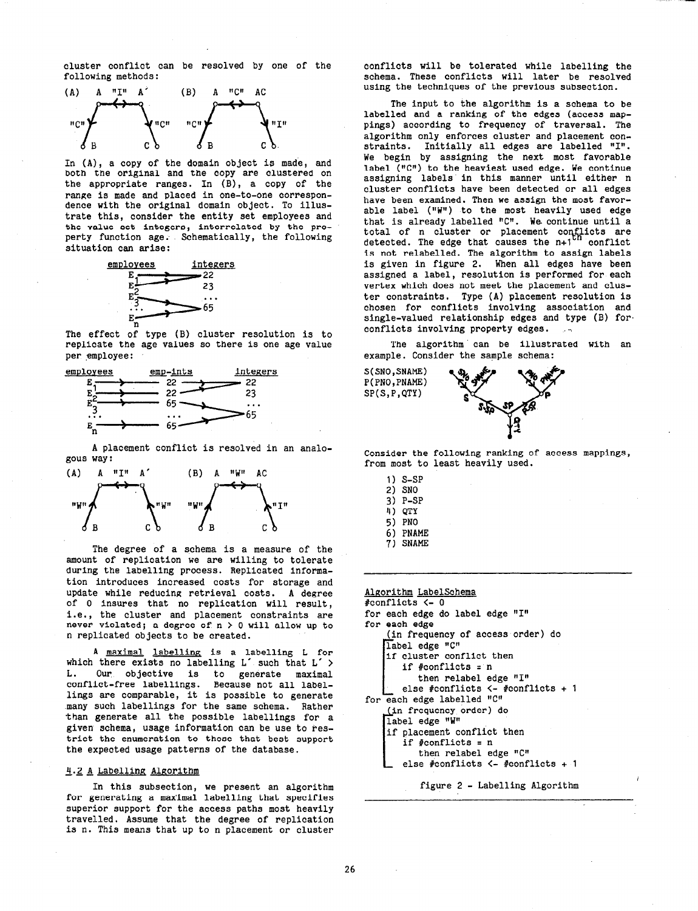cluster conflict can be resolved by one of the following methods:



In (A), a copy of the domain ob jeot is made, and both the original and the copy are clustered on the appropriate ranges. In  $(B)$ , a copy of the range is made and placed in one-to-one correspo dence with the original domain object. To illu trate this, consider the entity set employees and the value set integers, interrelated by the property function age. Schematically, the following situation can arise:



The effect of type (B) cluster resolution is to replicate the age values so there is one age value per employee :



A placement conflict is resolved in an analogous way:



The degree of a schema is a measure of the amount of replication we are willing to tolerate during the labelling process. Replicated information introduces increased costs for storage and update while reducing retrieval costs. A degree of 0 insures that no replication will result, i.e., the cluster and placement constraints are never violated; a degree of  $n > 0$  will allow up to n replicated objects to be created.

A maximal labelling is a labelling L for which there exists no labelling L' such that L' > L. Our objective is to generate maximal conflict-free labellings. Because not all labellings are comparable, it is possible to generate many such labellings for the same schema. Rather than generate all the possible labellings for a given schema, usage information can be use to restrict the enumeration to those that best support the expected usage patterns of the database.

### 4.2 A Labelling Algorithm

In this subsection, we present an algorithm for generating a max'imal labelling that specifies superior support for the access paths most heavily travelled. Assume that the degree of replication is n. This means that up to n placement or cluster

conflicts will be tolerated while labelling the schema. These conflicts will later be resolved using the techniques of the previous subsection.

The input to the algorithm is a schema to be labelled and a ranking of the edges (access mappings) according to frequency of traversal. The algorithm only enforces cluster and placement constraints. Initially all edges are labelled "I". We begin by assigning the next most favorable label ( $"C"$ ) to the heaviest used edge. We continue assigning labels' in this manner until either n cluster conflicts have been detected or all edges have been examined. Then we assign the most favorable label (" $W''$ ) to the most heavily used edge that is already labelled  $"C"$ . We continue until a total of n cluster or placement conflicts are detected. The edge that causes the n+1<sup>on</sup> confli is not relabelled. The algorithm to assign labels is given in figure 2. When all edges have been assigned a label, resolution is performed for each vertex which does not meet the placement and cluster constraints. Type (A) placement resolution is chosen for conflicts involving association and single-valued relationship edges and type (B) for conflicts involving property edges.

The algorithm' can be illustrated with an example. Consider the sample schema:



Consider the following ranking of access mappings from most to least heavily used.

- 1) s-SP 2) SNO 3) P-SP 4) QTY 5) PNO 6) PNAME
- 7) SNAME

Algorithm LabelSchema #conflicts <- 0 for each edge do label edge "I" for each edge (in frequency of access order) do label edge "C" if cluster conflict then if #conflicts = n then relabel edge "1" else #conflicts <- #conflicts + 1 [ for each edge labelled "C" (in frequency order) do label edge "W" if placement conflict then if #conflicts = n then relabel edge "C" else #conflicts <- #conflicts + 1 figure 2 - Labelling Algorithm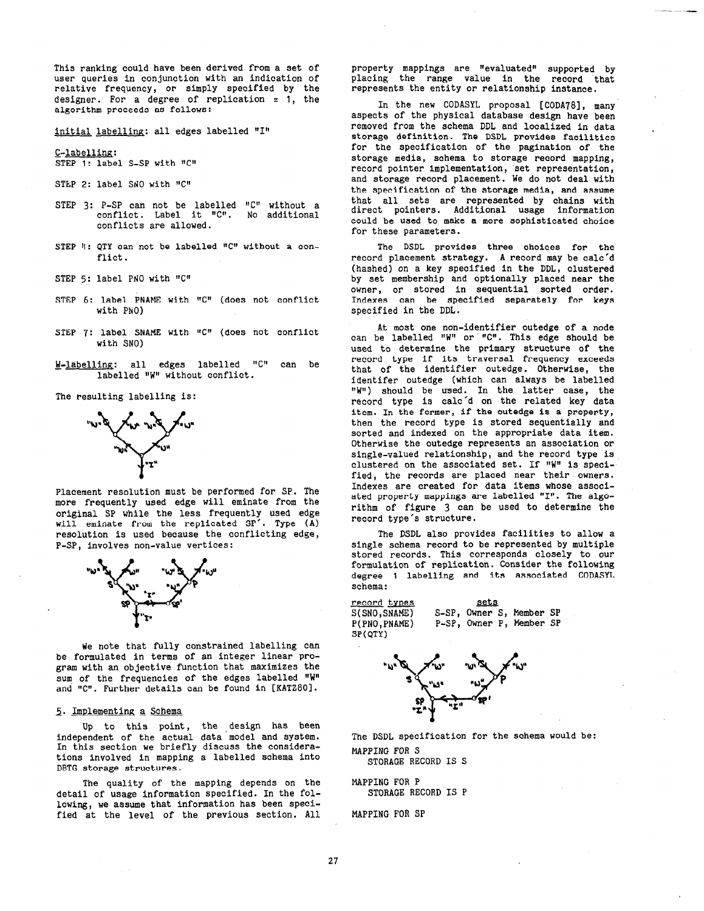This ranking could have been derived from a set of user queries in conjunction with an indication of relative frequency, or simply specified by the designer. For a degree of replication = 1, the algorithm proceeds as follows:

initial labelling: all edges labelled "1"

s-labelling: STEP 1: label S-SP with "C"

- STEP 2: label SNO with "C"
- STEP  $3: P-SP$  can not be labelled "C" without a conflict. Label it "C". No additiona conflicts are allowed.
- STEP 4: QTY can not be labelled  $"C"$  without a conflict.
- STEP 5: label PNO with "C"
- STEP 6: label PNAME with "C" (does not conflic with PNO)
- STEP 7: label SNAME with "C" (does not conflic with SNO)
- H-labelling: all edges labelled "C" can be labelled "W" without conflict.

The resulting labelling is:



Placement resolution must be performed for SP. The more frequently used edge will eminate from the original SP while the less frequently used edge will eminate from the replicated SP'. Type (A) resolution is used because the conflicting edge, P-SP, involves non-value vertices:



We note that fully constrained labelling can be formulated in terms of an integer linear program with an objective function that maximizes the sum of the frequencies of the edges labelled "W" and "C". Further details can be found in [KATZ80].

# 5. Implementing a Schema

Up to this point, the design has been independent of the actual data model and system. In this section we briefly discuss the considerations involved in mapping a labelled schema into DBTG storage structures.

The quality of the mapping depends on the detail of usage information specified. In the following, we assume that information has been specified at the level of the previous section. All

property mappings are "evaluated" supported by placing the range value in the record that represents the entity or relationship instance.

In the new CODASYL proposal [CODA78], many aspects of the physical database design have been removed from the schema DDL and localized in data storage definition. The DSDL provides facilities for the specification of the pagination of the storage media, schema to storage record mapping, record pointer implementation, set representation, and storage record placement. We do not deal with the specification of the storage media, and assume that all sets are represented by chains with direct pointers. Additional usage information could be used to make a more sophisticated choice for these parameters.

The DSDL provides three choices for the record placement strategy. A record may be calc'd (hashed) on a key specified in the DDL, clustered by set membership and optionally placed near the owner, or stored in sequential sorted order. Indexes can be specified separately for keys specified in the DDL.

At most one non-identifier outedge of a node can be labelled "W" or "C". This edge should be used to determine the primary structure of the record type if its traversal frequency exceeds that of the identifier outedge. Otherwise, the identifer outedge (which can always be labelled "W") should be used. In the latter case, the record type is calc'd on the related key data item. In the former, if the outedge is a property, then the record type is stored sequentially and sorted and indexed on the appropriate data item. Otherwise the outedge represents an association or single-valued relationship, and the record type is clustered on the associated set. If "W" is specified, the records are placed near their owners. Indexes are created for data items whose associated property mappings are labelled "I". The algorithm of figure 3 can be used to determine the record type's structure.

The DSDL also provides facilities to allow a single schema record to be represented by multiple stored records. This corresponds closely to our formulation of replication. Consider the following degree 1 labelling and its associated CODASYL schema:

**record types** sets<br>S(SNO,SNAME) S-SP, Owner S SP(QTY)

S(SNO,SNAME) S-SP, Owner S, Member SP<br>P(PNO,PNAME) P-SP, Owner P, Member SP P-SP, Owner P, Member SP



The DSDL specification for the schema would be: MAPPING FOR S

STORAGE RECORD IS S

MAPPING FOR P STORAGE RECORD IS P

MAPPING FOR SP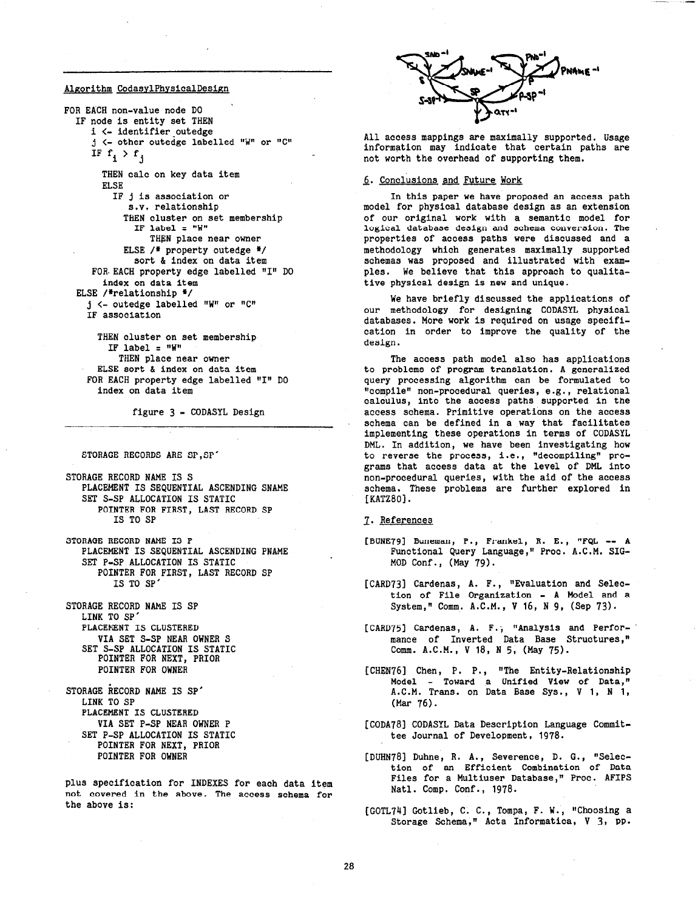# Algorithm CodasylPhysicalDesign

FOR EACH non-value node DO IF node is entity set THEN i <- identifier\_outedge  $j$  <- other outedge labelled "W" or "C" IF  $f_i > f_j$ THEN calo on key data item ELSE IF j is association or S.V. relationship THEN cluster on set membership IF label =  $"W"$ THEN place near owner ELSE  $/$  property outedge \*/ sort & index on data item FOR EACH property edge labelled "I" DO index on data item ELSE /\*relationship \*/  $j$  <- outedge labelled "W" or "C" IF association

THEN cluster on set membership IF label  $=$  "W" THEN place near owner ELSE sort & index on data item FOR EACH property edge labelled "I" DO index on data item

figure 3 - CODASYL Design

STORAGE RECORDS ARE SP,SP'

STORAGE RECORD NAME IS S PLACEMENT IS SEQUENTIAL ASCENDING SNAME SET S-SP ALLOCATION IS STATIC POINTER FOR FIRST, LAST RECORD SP IS TO SP

STORAGE RECORD NAME IS P PLACEMENT IS SEQUENTIAL ASCENDING PNAME SET P-SP ALLOCATION IS STATIC POINTER FOR FIRST, LAST RECORD SP IS TO SP'

STORAGE RECORD NAME IS SP LINK TO SP' PLACEMENT IS CLUSTERED VIA SET S-SP NEAR OWNER S SET S-SP ALLOCATION IS STATIC POINTER FOR NEXT, PRIOR POINTER FOR OWNER

STORAGE RECORD NAME IS SP' LINK TO SP PLACEMENT IS CLUSTERED VIA SET P-SP NEAR OWNER P SET P-SP ALLOCATION IS STATIC POINTER FOR NEXT, PRIOR POINTER FOR OWNER

plus specification for INDEXES for each data item not covered in the above. The access schema for the above is:



All access mappings are maximally supported. Usage information may indicate that certain paths are not worth the overhead of supporting them.

### 5. Conclusions and Future Work

In this paper ne have proposed an access path model for physical database design as an extension of our original work with a semantic model for logical database design and schema conversion. The properties of access paths were discussed and a methodology which generates maximally supported schemas was proposed and illustrated with examples. We believe that this approach to qualitative physical design is new and unique.

We have briefly discussed the applications of our methodology for designing CODASYL physical databases. More work is required on usage specification in order to improve the quality of the design.

The access path model also has applications to problems of program translation. A generalized query processing algorithm can be formulated to "compile" non-procedural queries, e.g., relational calculus, into the access paths supported in the access schema. Primitive operations on the access schema can be defined in a way that facilitates implementing these operations in terms of CODASYL DML. In addition, we have been investigating how to reverse the process, i.e., "decompiling" programs that access data at the level of DML into non-procedural queries, with the aid of the access schema. These problems are further explored in [KATZ80].

1. References

- [BUNE79] Buneman, P., Frankel, R. E., "FQL -- A Functional Query Language," Proc. A.C.M. SIG-MOD Conf., (May 79).
- [CARD73] Cardenas, A. F., "Evaluation and Selection of File Organization - A Model and a System," Comm. A.C.M., V 16, N 9, (Sep 73).
- [CARD75] Cardenas, A. F., "Analysis and Performance of Inverted Data Base Structures," Comm. A.C.M., V 18, N 5, (May 75).
- [CHEN76] Chen, P. P., "The Entity-Relationship Model - Toward a Unified View of Data," A.C.M. Trans. on Data Base Sys., V 1, N 1, (Mar 76).
- [CODA781 CODASYL Data Description Language Committee Journal of Development, 1978.
- [DUHN78] Duhne, R. A., Severence, D. G., "Selection of an Efficient Combination of Data Files for a Multiuser Database," Proc. AFIPS Natl. Comp. Conf., 1978.
- [GOTL74] Gotlieb, C. C., Tompa, F. W., "Choosing a Storage Schema," Acta Informatica, V 3, pp.